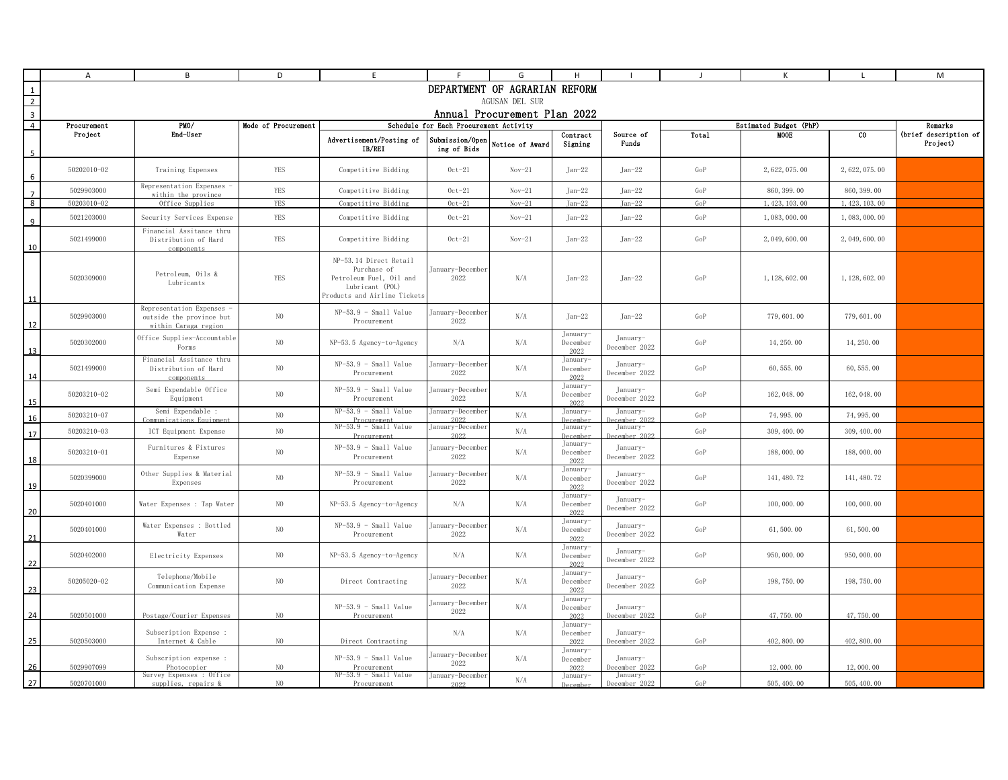|                         | A                                                                                    | B                                                                           | D              | E                                                                                                                   |                                | G                             | H                            |                           |                        | К               |                 | M                                 |  |
|-------------------------|--------------------------------------------------------------------------------------|-----------------------------------------------------------------------------|----------------|---------------------------------------------------------------------------------------------------------------------|--------------------------------|-------------------------------|------------------------------|---------------------------|------------------------|-----------------|-----------------|-----------------------------------|--|
| $\mathbf{1}$            |                                                                                      |                                                                             |                |                                                                                                                     |                                | DEPARTMENT OF AGRARIAN REFORM |                              |                           |                        |                 |                 |                                   |  |
| $\overline{2}$          |                                                                                      |                                                                             |                |                                                                                                                     |                                | AGUSAN DEL SUR                |                              |                           |                        |                 |                 |                                   |  |
| $\overline{3}$          |                                                                                      |                                                                             |                |                                                                                                                     |                                | Annual Procurement Plan 2022  |                              |                           |                        |                 |                 |                                   |  |
| $\overline{4}$          | PMO/<br>Mode of Procurement<br>Schedule for Each Procurement Activity<br>Procurement |                                                                             |                |                                                                                                                     |                                |                               |                              |                           | Estimated Budget (PhP) |                 |                 |                                   |  |
| $\overline{\mathbf{a}}$ | Project                                                                              | End-User                                                                    |                | Advertisement/Posting of<br>IB/REI                                                                                  | Submission/Open<br>ing of Bids | Notice of Award               | Contract<br>Signing          | Source of<br>Funds        | Total                  | <b>MOOE</b>     | $_{\rm co}$     | (brief description of<br>Project) |  |
| 6                       | 50202010-02                                                                          | Training Expenses                                                           | <b>YES</b>     | Competitive Bidding                                                                                                 | $0ct-21$                       | $Nov-21$                      | $Tan-22$                     | $Jan-22$                  | GoP                    | 2, 622, 075, 00 | 2, 622, 075, 00 |                                   |  |
| $\overline{7}$          | 5029903000                                                                           | Representation Expenses .<br>within the province                            | <b>YES</b>     | Competitive Bidding                                                                                                 | $0ct-21$                       | $Nov-21$                      | $Jan-22$                     | $Jan-22$                  | GoP                    | 860, 399.00     | 860, 399, 00    |                                   |  |
| 8                       | 50203010-02                                                                          | Office Supplies                                                             | <b>YES</b>     | Competitive Bidding                                                                                                 | $0ct-21$                       | $Nov-21$                      | $Jan-22$                     | $Jan-22$                  | GoP                    | 1, 423, 103.00  | 1, 423, 103, 00 |                                   |  |
| 9                       | 5021203000                                                                           | Security Services Expense                                                   | YES            | Competitive Bidding                                                                                                 | $0ct-21$                       | $Nov-21$                      | $Jan-22$                     | $Jan-22$                  | GoP                    | 1,083,000.00    | 1,083,000.00    |                                   |  |
| 10                      | 5021499000                                                                           | Financial Assitance thru<br>Distribution of Hard<br>components              | YES            | Competitive Bidding                                                                                                 | $0ct-21$                       | $Nov-21$                      | $Jan-22$                     | $Jan-22$                  | GoP                    | 2, 049, 600.00  | 2, 049, 600. 00 |                                   |  |
| 11                      | 5020309000                                                                           | Petroleum, Oils &<br>Lubricants                                             | <b>YES</b>     | NP-53.14 Direct Retail<br>Purchase of<br>Petroleum Fuel, Oil and<br>Lubricant (POL)<br>Products and Airline Tickets | January-December<br>2022       | N/A                           | $Jan-22$                     | $Jan-22$                  | GoP                    | 1, 128, 602, 00 | 1, 128, 602.00  |                                   |  |
| 12                      | 5029903000                                                                           | Representation Expenses<br>outside the province but<br>within Caraga region | N <sub>0</sub> | $NP-53.9$ - Small Value<br>Procurement                                                                              | January-December<br>2022       | N/A                           | $Jan-22$                     | $Jan-22$                  | GoP                    | 779, 601.00     | 779, 601.00     |                                   |  |
| 13                      | 5020302000                                                                           | Office Supplies-Accountable<br>Forms                                        | N <sub>0</sub> | NP-53.5 Agency-to-Agency                                                                                            | N/A                            | N/A                           | January-<br>December<br>2022 | January-<br>December 2022 | GoP                    | 14, 250, 00     | 14, 250, 00     |                                   |  |
| 14                      | 5021499000                                                                           | Financial Assitance thru<br>Distribution of Hard<br>components              | N <sub>0</sub> | $NP-53.9 - Small Value$<br>Procurement                                                                              | January-December<br>2022       | N/A                           | January<br>December<br>2022  | January-<br>December 2022 | GoP                    | 60, 555, 00     | 60, 555, 00     |                                   |  |
| 15                      | 50203210-02                                                                          | Semi Expendable Office<br>Equipment                                         | $_{\rm NO}$    | $NP-53.9 - Small Value$<br>Procurement                                                                              | January-December<br>2022       | N/A                           | January-<br>December<br>2022 | January-<br>December 2022 | GoP                    | 162, 048.00     | 162, 048.00     |                                   |  |
| 16                      | 50203210-07                                                                          | Semi Expendable :<br>ommunications Equipment                                | $_{\rm NO}$    | $NP-53.9$ - Small Value<br>Procurement                                                                              | January-December<br>2022       | N/A                           | January-<br>Decembe          | January-<br>ecember 2022  | GoP                    | 74, 995.00      | 74, 995.00      |                                   |  |
| 17                      | 50203210-03                                                                          | ICT Equipment Expense                                                       | $_{\rm NO}$    | $NP-53.9 - Small Value$<br>Procurement                                                                              | January-December<br>2022       | N/A                           | January-<br>Decembe          | January-<br>ecember 2022  | GoP                    | 309, 400, 00    | 309, 400, 00    |                                   |  |
| 18                      | 50203210-01                                                                          | Furnitures & Fixtures<br>Expense                                            | N <sub>0</sub> | $NP-53.9 - Small Value$<br>Procurement                                                                              | January-December<br>2022       | N/A                           | January-<br>December<br>2022 | January-<br>December 2022 | GoP                    | 188,000.00      | 188,000.00      |                                   |  |
| 19                      | 5020399000                                                                           | Other Supplies & Material<br>Expenses                                       | $_{\rm NO}$    | NP-53.9 - Small Value<br>Procurement                                                                                | January-December<br>2022       | N/A                           | January-<br>December<br>2022 | January-<br>December 2022 | GoP                    | 141, 480.72     | 141, 480.72     |                                   |  |
| 20                      | 5020401000                                                                           | Water Expenses : Tap Water                                                  | N <sub>O</sub> | NP-53.5 Agency-to-Agency                                                                                            | N/A                            | N/A                           | January-<br>December<br>2022 | January-<br>December 2022 | GoP                    | 100,000.00      | 100, 000, 00    |                                   |  |
| 21                      | 5020401000                                                                           | Water Expenses : Bottled<br>Water                                           | $_{\rm NO}$    | $NP-53.9 - Small Value$<br>Procurement                                                                              | January-December<br>2022       | N/A                           | January-<br>December<br>2022 | January-<br>December 2022 | GoP                    | 61,500.00       | 61, 500.00      |                                   |  |
| 22                      | 5020402000                                                                           | Electricity Expenses                                                        | N <sub>O</sub> | NP-53.5 Agency-to-Agency                                                                                            | N/A                            | N/A                           | January-<br>December<br>2022 | January-<br>December 2022 | GoP                    | 950, 000, 00    | 950, 000.00     |                                   |  |
| 23                      | 50205020-02                                                                          | Telephone/Mobile<br>Communication Expense                                   | N <sub>0</sub> | Direct Contracting                                                                                                  | January-December<br>2022       | N/A                           | January-<br>December<br>2022 | January-<br>December 2022 | GoP                    | 198, 750.00     | 198, 750.00     |                                   |  |
| 24                      | 5020501000                                                                           | Postage/Courier Expenses                                                    | N <sub>0</sub> | $NP-53.9 - Small Value$<br>Procurement                                                                              | January-December<br>2022       | N/A                           | January-<br>December<br>2022 | January-<br>December 2022 | GoP                    | 47,750.00       | 47, 750, 00     |                                   |  |
| 25                      | 5020503000                                                                           | Subscription Expense :<br>Internet & Cable                                  | N <sub>0</sub> | Direct Contracting                                                                                                  | N/A                            | N/A                           | Tanuary-<br>December<br>2022 | January-<br>December 2022 | GoP                    | 402, 800, 00    | 402, 800.00     |                                   |  |
| 26                      | 5029907099                                                                           | Subscription expense :<br>Photocopier                                       | N <sub>0</sub> | $NP-53.9 - Small Value$<br>Procurement                                                                              | January-December<br>2022       | N/A                           | January-<br>December<br>2022 | January-<br>December 2022 | GoP                    | 12,000.00       | 12,000.00       |                                   |  |
| 27                      | 5020701000                                                                           | Survey Expenses : Office<br>supplies, repairs &                             | N <sub>0</sub> | NP-53.9 - Small Value<br>Procurement                                                                                | January-Decembe<br>2022        | N/A                           | January<br>December          | January<br>December 2022  | GoP                    | 505, 400.00     | 505, 400.00     |                                   |  |
|                         |                                                                                      |                                                                             |                |                                                                                                                     |                                |                               |                              |                           |                        |                 |                 |                                   |  |